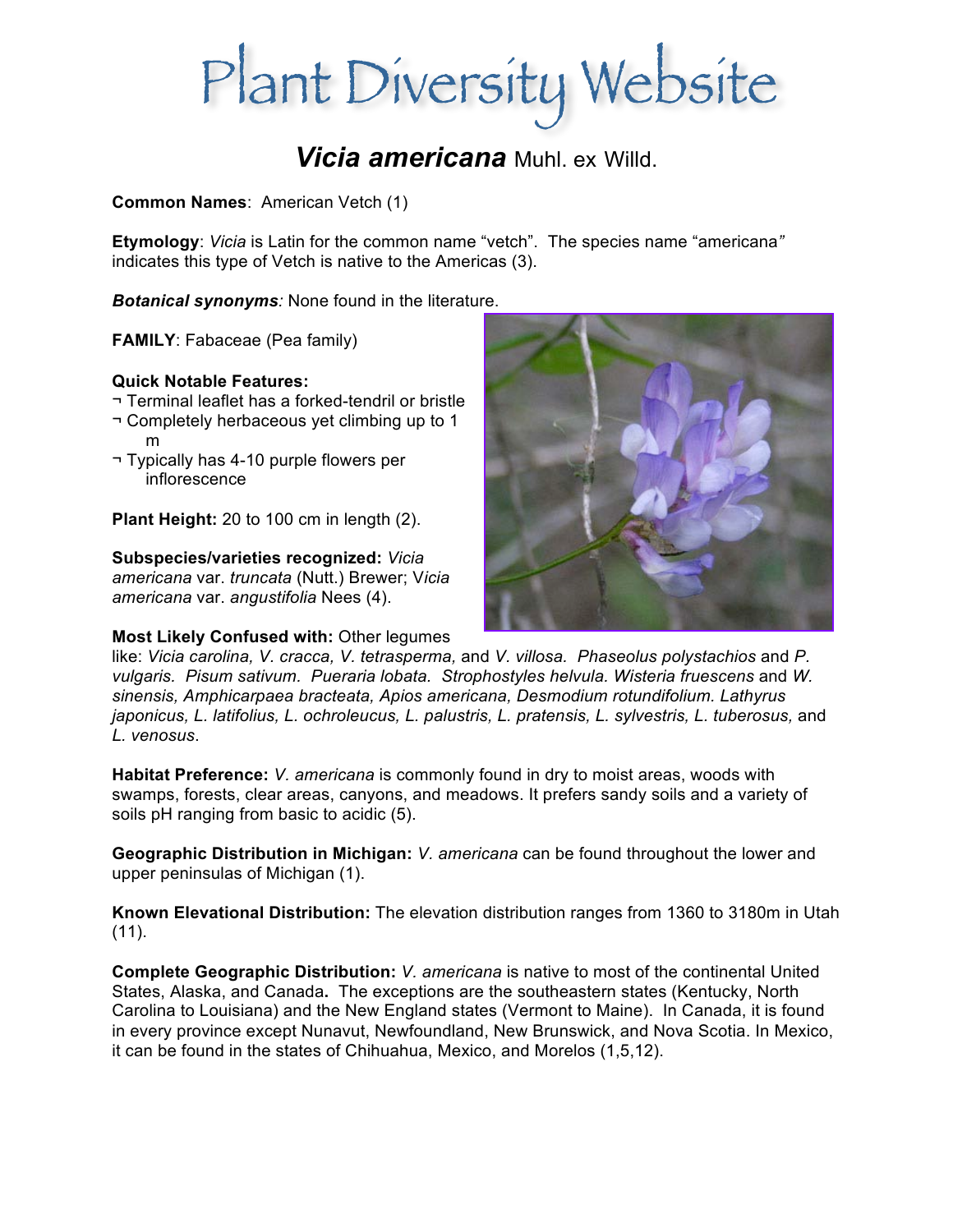# Plant Diversity Website

## *Vicia americana* Muhl. ex Willd.

**Common Names**: American Vetch (1)

**Etymology**: *Vicia* is Latin for the common name "vetch". The species name "americana*"*  indicates this type of Vetch is native to the Americas (3).

*Botanical synonyms:* None found in the literature.

**FAMILY**: Fabaceae (Pea family)

## **Quick Notable Features:**

- ¬ Terminal leaflet has a forked-tendril or bristle
- ¬ Completely herbaceous yet climbing up to 1 m
- ¬ Typically has 4-10 purple flowers per inflorescence

**Plant Height:** 20 to 100 cm in length (2).

## **Subspecies/varieties recognized:** *Vicia*

*americana* var. *truncata* (Nutt.) Brewer; V*icia americana* var. *angustifolia* Nees (4).

## **Most Likely Confused with:** Other legumes



like: *Vicia carolina, V. cracca, V. tetrasperma,* and *V. villosa. Phaseolus polystachios* and *P. vulgaris. Pisum sativum. Pueraria lobata. Strophostyles helvula. Wisteria fruescens and W. sinensis, Amphicarpaea bracteata, Apios americana, Desmodium rotundifolium. Lathyrus japonicus, L. latifolius, L. ochroleucus, L. palustris, L. pratensis, L. sylvestris, L. tuberosus, and L. venosus*.

**Habitat Preference:** *V. americana* is commonly found in dry to moist areas, woods with swamps, forests, clear areas, canyons, and meadows. It prefers sandy soils and a variety of soils pH ranging from basic to acidic (5).

**Geographic Distribution in Michigan:** *V. americana* can be found throughout the lower and upper peninsulas of Michigan (1).

**Known Elevational Distribution:** The elevation distribution ranges from 1360 to 3180m in Utah  $(11)$ .

**Complete Geographic Distribution:** *V. americana* is native to most of the continental United States, Alaska, and Canada**.** The exceptions are the southeastern states (Kentucky, North Carolina to Louisiana) and the New England states (Vermont to Maine). In Canada, it is found in every province except Nunavut, Newfoundland, New Brunswick, and Nova Scotia. In Mexico, it can be found in the states of Chihuahua, Mexico, and Morelos (1,5,12).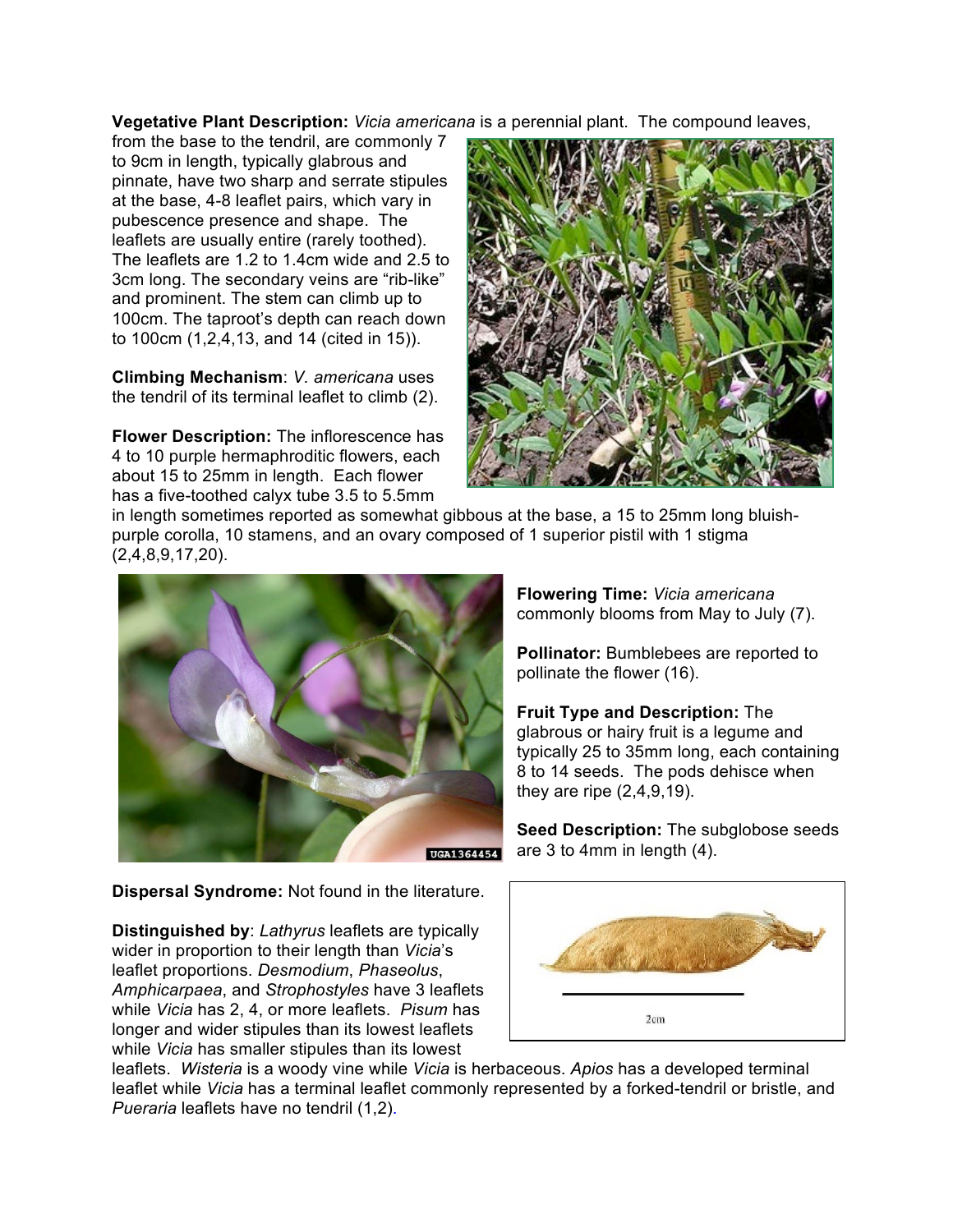**Vegetative Plant Description:** *Vicia americana* is a perennial plant.The compound leaves,

from the base to the tendril, are commonly 7 to 9cm in length, typically glabrous and pinnate, have two sharp and serrate stipules at the base, 4-8 leaflet pairs, which vary in pubescence presence and shape. The leaflets are usually entire (rarely toothed). The leaflets are 1.2 to 1.4cm wide and 2.5 to 3cm long. The secondary veins are "rib-like" and prominent. The stem can climb up to 100cm. The taproot's depth can reach down to 100cm (1,2,4,13, and 14 (cited in 15)).

**Climbing Mechanism**: *V. americana* uses the tendril of its terminal leaflet to climb (2).

**Flower Description:** The inflorescence has 4 to 10 purple hermaphroditic flowers, each about 15 to 25mm in length. Each flower has a five-toothed calyx tube 3.5 to 5.5mm



in length sometimes reported as somewhat gibbous at the base, a 15 to 25mm long bluishpurple corolla, 10 stamens, and an ovary composed of 1 superior pistil with 1 stigma (2,4,8,9,17,20).



**Flowering Time:** *Vicia americana* commonly blooms from May to July (7).

**Pollinator:** Bumblebees are reported to pollinate the flower (16).

**Fruit Type and Description:** The glabrous or hairy fruit is a legume and typically 25 to 35mm long, each containing 8 to 14 seeds. The pods dehisce when they are ripe (2,4,9,19).

**Seed Description:** The subglobose seeds are 3 to 4mm in length (4).

**Dispersal Syndrome:** Not found in the literature.

**Distinguished by**: *Lathyrus* leaflets are typically wider in proportion to their length than *Vicia*'s leaflet proportions. *Desmodium*, *Phaseolus*, *Amphicarpaea*, and *Strophostyles* have 3 leaflets while *Vicia* has 2, 4, or more leaflets. *Pisum* has longer and wider stipules than its lowest leaflets while *Vicia* has smaller stipules than its lowest



leaflets. *Wisteria* is a woody vine while *Vicia* is herbaceous. *Apios* has a developed terminal leaflet while *Vicia* has a terminal leaflet commonly represented by a forked-tendril or bristle, and *Pueraria* leaflets have no tendril (1,2).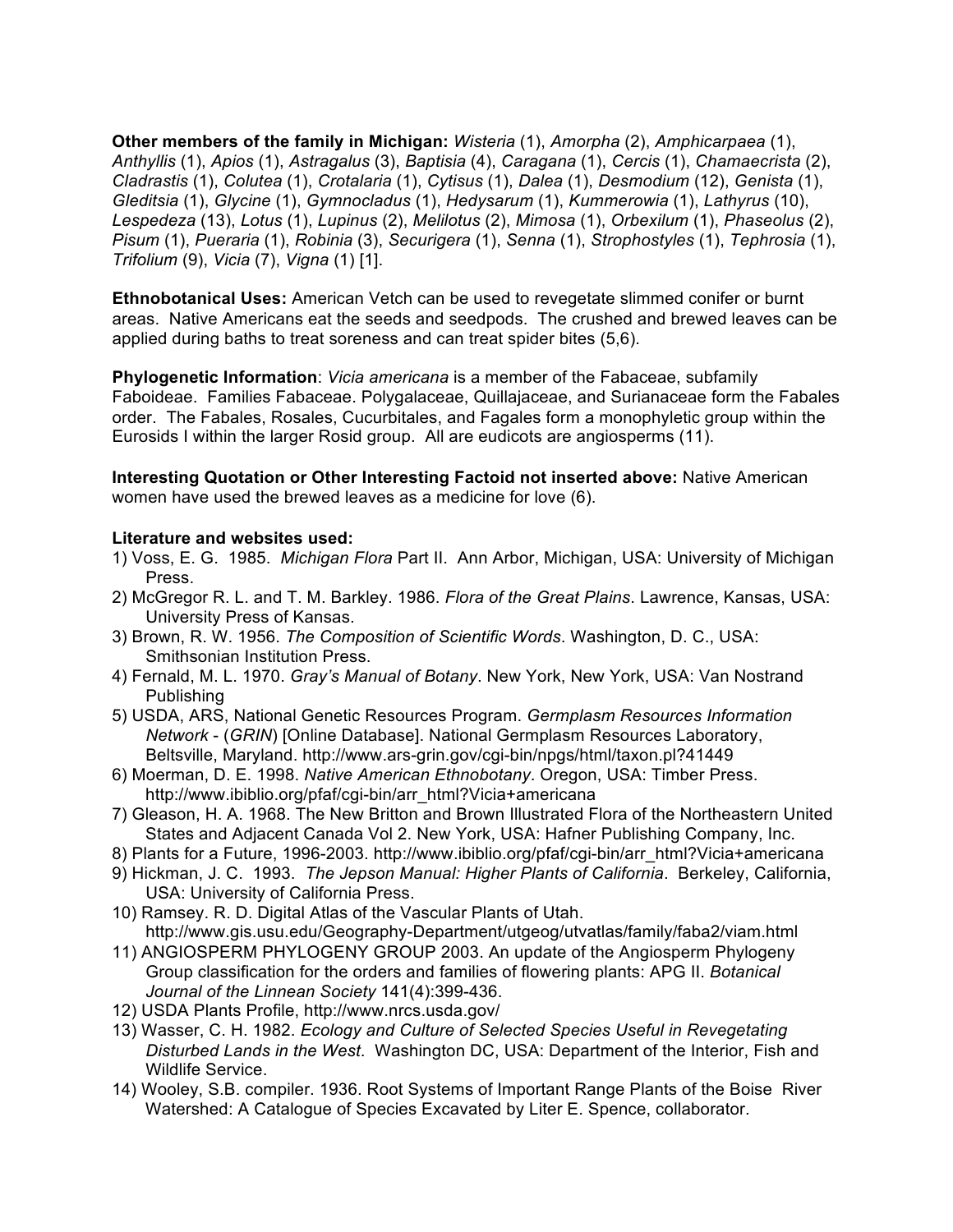**Other members of the family in Michigan:** *Wisteria* (1), *Amorpha* (2), *Amphicarpaea* (1), *Anthyllis* (1), *Apios* (1), *Astragalus* (3), *Baptisia* (4), *Caragana* (1), *Cercis* (1), *Chamaecrista* (2), *Cladrastis* (1), *Colutea* (1), *Crotalaria* (1), *Cytisus* (1), *Dalea* (1), *Desmodium* (12), *Genista* (1), *Gleditsia* (1), *Glycine* (1), *Gymnocladus* (1), *Hedysarum* (1), *Kummerowia* (1), *Lathyrus* (10), *Lespedeza* (13), *Lotus* (1), *Lupinus* (2), *Melilotus* (2), *Mimosa* (1), *Orbexilum* (1), *Phaseolus* (2), *Pisum* (1), *Pueraria* (1), *Robinia* (3), *Securigera* (1), *Senna* (1), *Strophostyles* (1), *Tephrosia* (1), *Trifolium* (9), *Vicia* (7), *Vigna* (1) [1].

**Ethnobotanical Uses:** American Vetch can be used to revegetate slimmed conifer or burnt areas. Native Americans eat the seeds and seedpods. The crushed and brewed leaves can be applied during baths to treat soreness and can treat spider bites (5,6).

**Phylogenetic Information**: *Vicia americana* is a member of the Fabaceae, subfamily Faboideae. Families Fabaceae. Polygalaceae, Quillajaceae, and Surianaceae form the Fabales order. The Fabales, Rosales, Cucurbitales, and Fagales form a monophyletic group within the Eurosids I within the larger Rosid group. All are eudicots are angiosperms (11).

**Interesting Quotation or Other Interesting Factoid not inserted above:** Native American women have used the brewed leaves as a medicine for love (6).

#### **Literature and websites used:**

- 1) Voss, E. G. 1985. *Michigan Flora* Part II. Ann Arbor, Michigan, USA: University of Michigan Press.
- 2) McGregor R. L. and T. M. Barkley. 1986. *Flora of the Great Plains*. Lawrence, Kansas, USA: University Press of Kansas.
- 3) Brown, R. W. 1956. *The Composition of Scientific Words*. Washington, D. C., USA: Smithsonian Institution Press.
- 4) Fernald, M. L. 1970. *Gray's Manual of Botany*. New York, New York, USA: Van Nostrand Publishing
- 5) USDA, ARS, National Genetic Resources Program. *Germplasm Resources Information Network* - (*GRIN*) [Online Database]. National Germplasm Resources Laboratory, Beltsville, Maryland. http://www.ars-grin.gov/cgi-bin/npgs/html/taxon.pl?41449
- 6) Moerman, D. E. 1998. *Native American Ethnobotany*. Oregon, USA: Timber Press. http://www.ibiblio.org/pfaf/cgi-bin/arr\_html?Vicia+americana
- 7) Gleason, H. A. 1968. The New Britton and Brown Illustrated Flora of the Northeastern United States and Adjacent Canada Vol 2. New York, USA: Hafner Publishing Company, Inc.
- 8) Plants for a Future, 1996-2003. http://www.ibiblio.org/pfaf/cgi-bin/arr\_html?Vicia+americana
- 9) Hickman, J. C. 1993. *The Jepson Manual: Higher Plants of California*. Berkeley, California, USA: University of California Press.
- 10) Ramsey. R. D. Digital Atlas of the Vascular Plants of Utah. http://www.gis.usu.edu/Geography-Department/utgeog/utvatlas/family/faba2/viam.html
- 11) ANGIOSPERM PHYLOGENY GROUP 2003. An update of the Angiosperm Phylogeny Group classification for the orders and families of flowering plants: APG II. *Botanical Journal of the Linnean Society* 141(4):399-436.
- 12) USDA Plants Profile, http://www.nrcs.usda.gov/
- 13) Wasser, C. H. 1982. *Ecology and Culture of Selected Species Useful in Revegetating Disturbed Lands in the West*. Washington DC, USA: Department of the Interior, Fish and Wildlife Service.
- 14) Wooley, S.B. compiler. 1936. Root Systems of Important Range Plants of the Boise River Watershed: A Catalogue of Species Excavated by Liter E. Spence, collaborator.